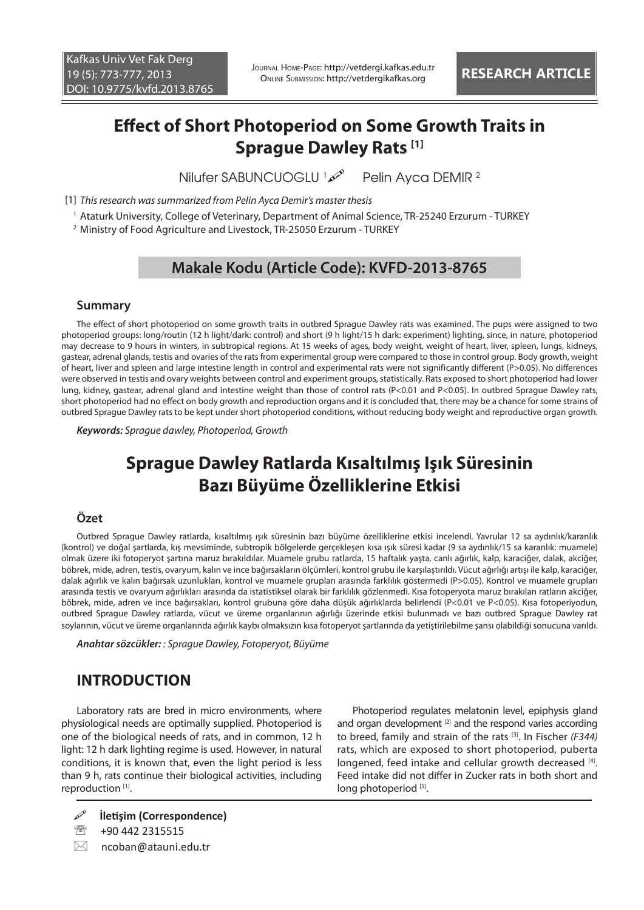Journal Home-Page: http://vetdergi.kafkas.edu.tr Online Submission: http://vetdergikafkas.org **RESEARCH ARTICLE**

# **Effect of Short Photoperiod on Some Growth Traits in Sprague Dawley Rats [1]**

**Nilufer SABUNCUOGLU** Pelin Ayca DEMIR<sup>2</sup>

[1] *This research was summarized from Pelin Ayca Demir's master thesis*

1 Ataturk University, College of Veterinary, Department of Animal Science, TR-25240 Erzurum - TURKEY

2 Ministry of Food Agriculture and Livestock, TR-25050 Erzurum - TURKEY

## **Makale Kodu (Article Code): KVFD-2013-8765**

#### **Summary**

The effect of short photoperiod on some growth traits in outbred Sprague Dawley rats was examined. The pups were assigned to two photoperiod groups: long/routin (12 h light/dark: control) and short (9 h light/15 h dark: experiment) lighting, since, in nature, photoperiod may decrease to 9 hours in winters, in subtropical regions. At 15 weeks of ages, body weight, weight of heart, liver, spleen, lungs, kidneys, gastear, adrenal glands, testis and ovaries of the rats from experimental group were compared to those in control group. Body growth, weight of heart, liver and spleen and large intestine length in control and experimental rats were not significantly different (P>0.05). No differences were observed in testis and ovary weights between control and experiment groups, statistically. Rats exposed to short photoperiod had lower lung, kidney, gastear, adrenal gland and intestine weight than those of control rats (P<0.01 and P<0.05). In outbred Sprague Dawley rats, short photoperiod had no effect on body growth and reproduction organs and it is concluded that, there may be a chance for some strains of outbred Sprague Dawley rats to be kept under short photoperiod conditions, without reducing body weight and reproductive organ growth.

*Keywords: Sprague dawley, Photoperiod, Growth*

# **Sprague Dawley Ratlarda Kısaltılmış Işık Süresinin Bazı Büyüme Özelliklerine Etkisi**

#### **Özet**

Outbred Sprague Dawley ratlarda, kısaltılmış ışık süresinin bazı büyüme özelliklerine etkisi incelendi. Yavrular 12 sa aydınlık/karanlık (kontrol) ve doğal şartlarda, kış mevsiminde, subtropik bölgelerde gerçekleşen kısa ışık süresi kadar (9 sa aydınlık/15 sa karanlık: muamele) olmak üzere iki fotoperyot şartına maruz bırakıldılar. Muamele grubu ratlarda, 15 haftalık yaşta, canlı ağırlık, kalp, karaciğer, dalak, akciğer, böbrek, mide, adren, testis, ovaryum, kalın ve ince bağırsakların ölçümleri, kontrol grubu ile karşılaştırıldı. Vücut ağırlığı artışı ile kalp, karaciğer, dalak ağırlık ve kalın bağırsak uzunlukları, kontrol ve muamele grupları arasında farklılık göstermedi (P>0.05). Kontrol ve muamele grupları arasında testis ve ovaryum ağırlıkları arasında da istatistiksel olarak bir farklılık gözlenmedi. Kısa fotoperyota maruz bırakılan ratların akciğer, böbrek, mide, adren ve ince bağırsakları, kontrol grubuna göre daha düşük ağırlıklarda belirlendi (P<0.01 ve P<0.05). Kısa fotoperiyodun, outbred Sprague Dawley ratlarda, vücut ve üreme organlarının ağırlığı üzerinde etkisi bulunmadı ve bazı outbred Sprague Dawley rat soylarının, vücut ve üreme organlarında ağırlık kaybı olmaksızın kısa fotoperyot şartlarında da yetiştirilebilme şansı olabildiği sonucuna varıldı.

*Anahtar sözcükler: : Sprague Dawley, Fotoperyot, Büyüme*

# **INTRODUCTION**

Laboratory rats are bred in micro environments, where physiological needs are optimally supplied. Photoperiod is one of the biological needs of rats, and in common, 12 h light: 12 h dark lighting regime is used. However, in natural conditions, it is known that, even the light period is less than 9 h, rats continue their biological activities, including reproduction<sup>[1]</sup>.

Photoperiod regulates melatonin level, epiphysis gland and organ development<sup>[2]</sup> and the respond varies according to breed, family and strain of the rats [3]. In Fischer *(F344)*  rats, which are exposed to short photoperiod, puberta longened, feed intake and cellular growth decreased [4]. Feed intake did not differ in Zucker rats in both short and long photoperiod<sup>[5]</sup>.

- **İletişim (Correspondence)**
- <sup>2</sup> +90 442 2315515
- $\boxtimes$  ncoban@atauni.edu.tr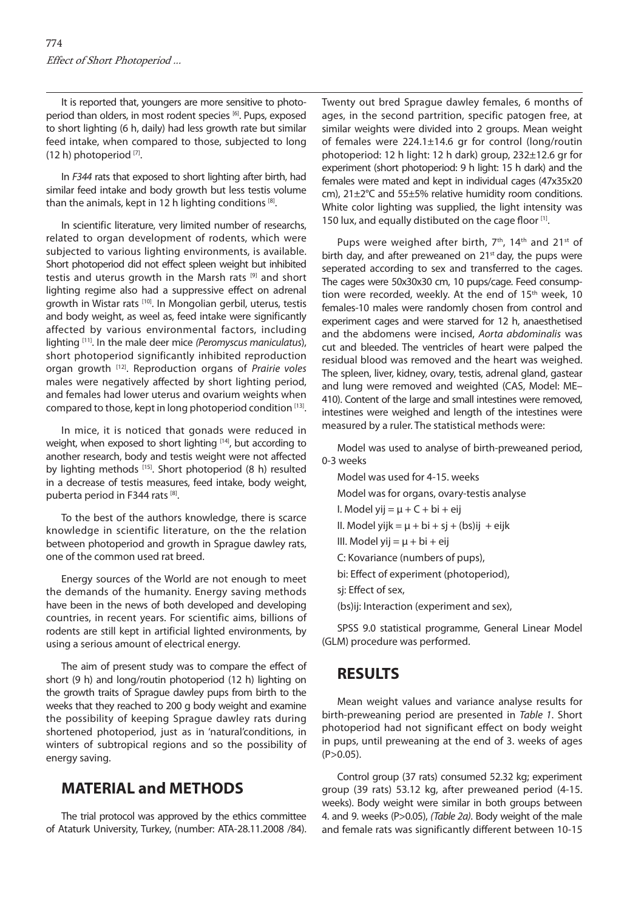It is reported that, youngers are more sensitive to photoperiod than olders, in most rodent species [6]. Pups, exposed to short lighting (6 h, daily) had less growth rate but similar feed intake, when compared to those, subjected to long  $(12 h)$  photoperiod  $^{[7]}$ .

In *F344* rats that exposed to short lighting after birth, had similar feed intake and body growth but less testis volume than the animals, kept in 12 h lighting conditions [8].

In scientific literature, very limited number of researchs, related to organ development of rodents, which were subjected to various lighting environments, is available. Short photoperiod did not effect spleen weight but inhibited testis and uterus growth in the Marsh rats [9] and short lighting regime also had a suppressive effect on adrenal growth in Wistar rats [10]. In Mongolian gerbil, uterus, testis and body weight, as weel as, feed intake were significantly affected by various environmental factors, including lighting [11]. In the male deer mice *(Peromyscus maniculatus*), short photoperiod significantly inhibited reproduction organ growth [12]. Reproduction organs of *Prairie voles* males were negatively affected by short lighting period, and females had lower uterus and ovarium weights when compared to those, kept in long photoperiod condition [13].

In mice, it is noticed that gonads were reduced in weight, when exposed to short lighting [14], but according to another research, body and testis weight were not affected by lighting methods [15]. Short photoperiod (8 h) resulted in a decrease of testis measures, feed intake, body weight, puberta period in F344 rats [8].

To the best of the authors knowledge, there is scarce knowledge in scientific literature, on the the relation between photoperiod and growth in Sprague dawley rats, one of the common used rat breed.

Energy sources of the World are not enough to meet the demands of the humanity. Energy saving methods have been in the news of both developed and developing countries, in recent years. For scientific aims, billions of rodents are still kept in artificial lighted environments, by using a serious amount of electrical energy.

The aim of present study was to compare the effect of short (9 h) and long/routin photoperiod (12 h) lighting on the growth traits of Sprague dawley pups from birth to the weeks that they reached to 200 g body weight and examine the possibility of keeping Sprague dawley rats during shortened photoperiod, just as in 'natural'conditions, in winters of subtropical regions and so the possibility of energy saving.

# **MATERIAL and METHODS**

The trial protocol was approved by the ethics committee of Ataturk University, Turkey, (number: ATA-28.11.2008 /84). Twenty out bred Sprague dawley females, 6 months of ages, in the second partrition, specific patogen free, at similar weights were divided into 2 groups. Mean weight of females were 224.1±14.6 gr for control (long/routin photoperiod: 12 h light: 12 h dark) group, 232±12.6 gr for experiment (short photoperiod: 9 h light: 15 h dark) and the females were mated and kept in individual cages (47x35x20 cm), 21±2°C and 55±5% relative humidity room conditions. White color lighting was supplied, the light intensity was 150 lux, and equally distibuted on the cage floor [1].

Pups were weighed after birth, 7<sup>th</sup>, 14<sup>th</sup> and 21<sup>st</sup> of birth day, and after preweaned on  $21^{st}$  day, the pups were seperated according to sex and transferred to the cages. The cages were 50x30x30 cm, 10 pups/cage. Feed consumption were recorded, weekly. At the end of 15<sup>th</sup> week, 10 females-10 males were randomly chosen from control and experiment cages and were starved for 12 h, anaesthetised and the abdomens were incised, *Aorta abdominalis* was cut and bleeded. The ventricles of heart were palped the residual blood was removed and the heart was weighed. The spleen, liver, kidney, ovary, testis, adrenal gland, gastear and lung were removed and weighted (CAS, Model: ME– 410). Content of the large and small intestines were removed, intestines were weighed and length of the intestines were measured by a ruler. The statistical methods were:

Model was used to analyse of birth-preweaned period, 0-3 weeks

Model was used for 4-15. weeks Model was for organs, ovary-testis analyse I. Model yij  $= \mu + C + bi + e$ ij II. Model yijk =  $\mu$  + bi + sj + (bs)ij + eijk III. Model yij  $= \mu + bi + eij$ C: Kovariance (numbers of pups), bi: Effect of experiment (photoperiod), sj: Effect of sex, (bs)ij: Interaction (experiment and sex),

SPSS 9.0 statistical programme, General Linear Model (GLM) procedure was performed.

# **RESULTS**

Mean weight values and variance analyse results for birth-preweaning period are presented in *Table 1*. Short photoperiod had not significant effect on body weight in pups, until preweaning at the end of 3. weeks of ages  $(P > 0.05)$ .

Control group (37 rats) consumed 52.32 kg; experiment group (39 rats) 53.12 kg, after preweaned period (4-15. weeks). Body weight were similar in both groups between 4. and 9. weeks (P>0.05), *(Table 2a)*. Body weight of the male and female rats was significantly different between 10-15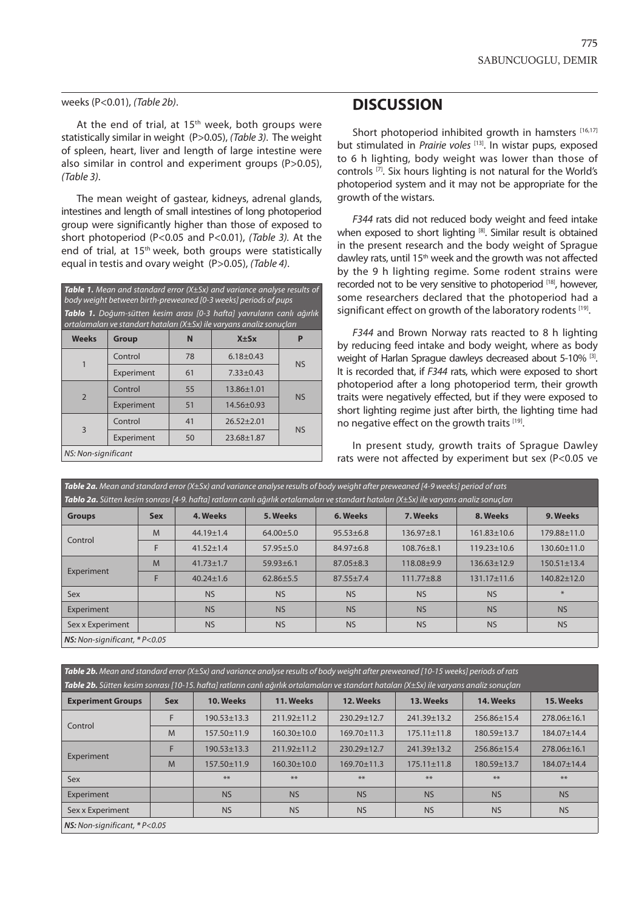#### weeks (P<0.01), *(Table 2b)*.

At the end of trial, at  $15<sup>th</sup>$  week, both groups were statistically similar in weight (P>0.05), *(Table 3)*. The weight of spleen, heart, liver and length of large intestine were also similar in control and experiment groups (P>0.05). *(Table 3)*.

The mean weight of gastear, kidneys, adrenal glands, intestines and length of small intestines of long photoperiod group were significantly higher than those of exposed to short photoperiod (P<0.05 and P<0.01), *(Table 3).* At the end of trial, at 15<sup>th</sup> week, both groups were statistically equal in testis and ovary weight (P>0.05), *(Table 4)*.

*Table 1. Mean and standard error (X±Sx) and variance analyse results of body weight between birth-preweaned [0-3 weeks] periods of pups Tablo 1. Doğum-sütten kesim arası [0-3 hafta] yavruların canlı ağırlık ortalamaları ve standart hataları (X±Sx) ile varyans analiz sonuçları*

| <b>Weeks</b>                | <b>Group</b> | N  | $X \pm Sx$       |           |  |
|-----------------------------|--------------|----|------------------|-----------|--|
|                             | Control      | 78 | $6.18 \pm 0.43$  | <b>NS</b> |  |
|                             | Experiment   | 61 | $7.33 \pm 0.43$  |           |  |
| $\overline{2}$              | Control      | 55 | 13.86±1.01       | <b>NS</b> |  |
|                             | Experiment   | 51 | 14.56±0.93       |           |  |
| 3                           | Control      | 41 | $26.52 \pm 2.01$ | <b>NS</b> |  |
|                             | Experiment   | 50 | 23.68±1.87       |           |  |
| $MC, N, n$ $c, n$ $ificant$ |              |    |                  |           |  |

#### *NS: Non-significant*

### **DISCUSSION**

Short photoperiod inhibited growth in hamsters [16,17] but stimulated in *Prairie voles* [13]. In wistar pups, exposed to 6 h lighting, body weight was lower than those of controls [7]. Six hours lighting is not natural for the World's photoperiod system and it may not be appropriate for the growth of the wistars.

*F344* rats did not reduced body weight and feed intake when exposed to short lighting [8]. Similar result is obtained in the present research and the body weight of Sprague dawley rats, until 15th week and the growth was not affected by the 9 h lighting regime. Some rodent strains were recorded not to be very sensitive to photoperiod [18], however, some researchers declared that the photoperiod had a significant effect on growth of the laboratory rodents [19].

*F344* and Brown Norway rats reacted to 8 h lighting by reducing feed intake and body weight, where as body weight of Harlan Sprague dawleys decreased about 5-10% [3]. It is recorded that, if *F344* rats, which were exposed to short photoperiod after a long photoperiod term, their growth traits were negatively effected, but if they were exposed to short lighting regime just after birth, the lighting time had no negative effect on the growth traits [19].

In present study, growth traits of Sprague Dawley rats were not affected by experiment but sex (P<0.05 ve

| <b>Table 2a.</b> Mean and standard error $(X \pm Sx)$ and variance analyse results of body weight after preweaned [4-9 weeks] period of rats<br>Tablo 2a. Sütten kesim sonrası [4-9. hafta] ratların canlı ağırlık ortalamaları ve standart hataları (X±Sx) ile varyans analiz sonuçları |            |                 |                 |                 |                  |                   |                   |
|------------------------------------------------------------------------------------------------------------------------------------------------------------------------------------------------------------------------------------------------------------------------------------------|------------|-----------------|-----------------|-----------------|------------------|-------------------|-------------------|
| <b>Groups</b>                                                                                                                                                                                                                                                                            | <b>Sex</b> | 4. Weeks        | 5. Weeks        | 6. Weeks        | 7. Weeks         | 8. Weeks          | 9. Weeks          |
| Control                                                                                                                                                                                                                                                                                  | M          | $44.19 \pm 1.4$ | $64.00 + 5.0$   | $95.53 \pm 6.8$ | $136.97 + 8.1$   | $161.83 \pm 10.6$ | 179.88±11.0       |
|                                                                                                                                                                                                                                                                                          | F          | $41.52 \pm 1.4$ | $57.95 \pm 5.0$ | 84.97±6.8       | $108.76 \pm 8.1$ | $119.23 \pm 10.6$ | 130.60±11.0       |
| Experiment                                                                                                                                                                                                                                                                               | M          | $41.73 \pm 1.7$ | $59.93 \pm 6.1$ | $87.05 \pm 8.3$ | 118.08±9.9       | $136.63 \pm 12.9$ | $150.51 \pm 13.4$ |
|                                                                                                                                                                                                                                                                                          | F          | $40.24 \pm 1.6$ | $62.86 \pm 5.5$ | $87.55 \pm 7.4$ | $111.77\pm8.8$   | $131.17 \pm 11.6$ | 140.82±12.0       |
| Sex                                                                                                                                                                                                                                                                                      |            | <b>NS</b>       | <b>NS</b>       | <b>NS</b>       | <b>NS</b>        | <b>NS</b>         |                   |
| Experiment                                                                                                                                                                                                                                                                               |            | <b>NS</b>       | <b>NS</b>       | <b>NS</b>       | <b>NS</b>        | <b>NS</b>         | <b>NS</b>         |
| Sex x Experiment                                                                                                                                                                                                                                                                         |            | <b>NS</b>       | <b>NS</b>       | <b>NS</b>       | <b>NS</b>        | <b>NS</b>         | <b>NS</b>         |
| $NS: Non-significant, * P<0.05$                                                                                                                                                                                                                                                          |            |                 |                 |                 |                  |                   |                   |

*Table 2b. Mean and standard error (X±Sx) and variance analyse results of body weight after preweaned [10-15 weeks] periods of rats*

| <b>Table 2b.</b> Sütten kesim sonrası [10-15. hafta] ratların canlı ağırlık ortalamaları ve standart hataları (X±Sx) ile varyans analiz sonuçları |            |                   |                   |                   |                   |                   |             |
|---------------------------------------------------------------------------------------------------------------------------------------------------|------------|-------------------|-------------------|-------------------|-------------------|-------------------|-------------|
| <b>Experiment Groups</b>                                                                                                                          | <b>Sex</b> | 10. Weeks         | 11. Weeks         | 12. Weeks         | 13. Weeks         | 14. Weeks         | 15. Weeks   |
| Control                                                                                                                                           | F          | $190.53 \pm 13.3$ | $211.92 \pm 11.2$ | 230.29±12.7       | 241.39±13.2       | 256.86±15.4       | 278.06±16.1 |
|                                                                                                                                                   | M          | 157.50±11.9       | $160.30 \pm 10.0$ | 169.70±11.3       | $175.11 \pm 11.8$ | 180.59±13.7       | 184.07±14.4 |
| Experiment                                                                                                                                        |            | $190.53 \pm 13.3$ | $211.92 \pm 11.2$ | 230.29±12.7       | 241.39±13.2       | $256.86 \pm 15.4$ | 278.06±16.1 |
|                                                                                                                                                   | M          | $157.50 \pm 11.9$ | $160.30 \pm 10.0$ | $169.70 \pm 11.3$ | $175.11 \pm 11.8$ | 180.59±13.7       | 184.07±14.4 |
| Sex                                                                                                                                               |            | **                | $**$              | **                | **                | $**$              | **          |
| Experiment                                                                                                                                        |            | <b>NS</b>         | <b>NS</b>         | <b>NS</b>         | <b>NS</b>         | <b>NS</b>         | <b>NS</b>   |
| Sex x Experiment                                                                                                                                  |            | <b>NS</b>         | <b>NS</b>         | <b>NS</b>         | <b>NS</b>         | <b>NS</b>         | <b>NS</b>   |
| <b>NS:</b> Non-significant, $* P < 0.05$                                                                                                          |            |                   |                   |                   |                   |                   |             |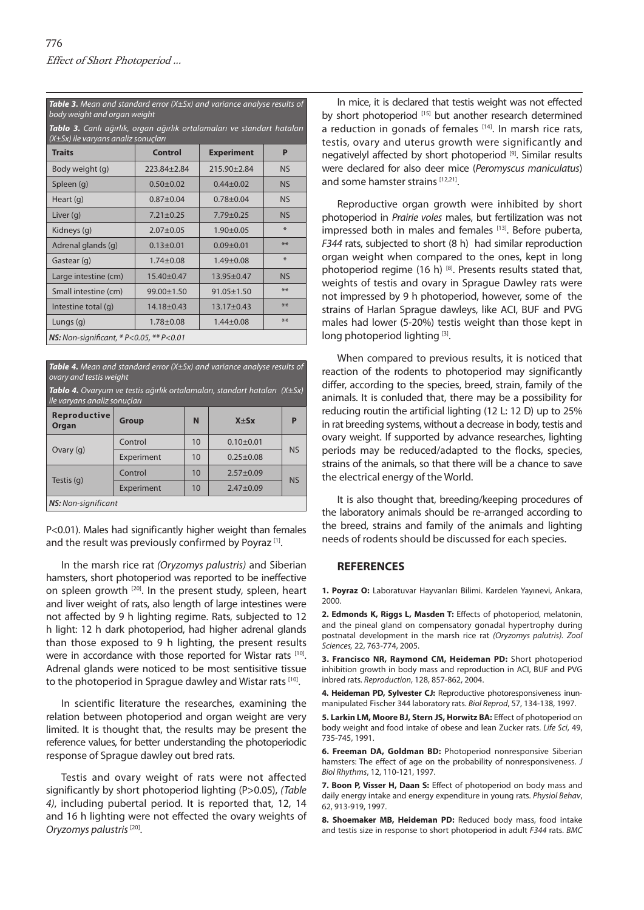*Table 3. Mean and standard error (X±Sx) and variance analyse results of body weight and organ weight*

*Tablo 3. Canlı ağırlık, organ ağırlık ortalamaları ve standart hataları (X±Sx) ile varyans analiz sonuçları*

| <b>Traits</b>                                            | <b>Control</b>   | <b>Experiment</b> | P         |  |  |  |
|----------------------------------------------------------|------------------|-------------------|-----------|--|--|--|
| Body weight (g)                                          | 223.84±2.84      | $215.90 + 2.84$   | <b>NS</b> |  |  |  |
| Spleen (g)                                               | $0.50 + 0.02$    | $0.44 \pm 0.02$   | <b>NS</b> |  |  |  |
| Heart $(q)$                                              | $0.87 + 0.04$    | $0.78 + 0.04$     | <b>NS</b> |  |  |  |
| Liver (g)                                                | $7.21 \pm 0.25$  | $7.79 + 0.25$     | <b>NS</b> |  |  |  |
| Kidneys (g)                                              | $2.07 \pm 0.05$  | $1.90 \pm 0.05$   | $*$       |  |  |  |
| Adrenal glands (g)                                       | $0.13 \pm 0.01$  | $0.09 + 0.01$     | **        |  |  |  |
| Gastear (g)                                              | $1.74 \pm 0.08$  | $1.49 + 0.08$     | 圣         |  |  |  |
| Large intestine (cm)                                     | 15.40±0.47       | $13.95 \pm 0.47$  | <b>NS</b> |  |  |  |
| Small intestine (cm)                                     | 99.00±1.50       | $91.05 \pm 1.50$  | **        |  |  |  |
| Intestine total (q)                                      | $14.18 \pm 0.43$ | $13.17 + 0.43$    | **        |  |  |  |
| Lungs (g)                                                | $1.78 + 0.08$    | $1.44 \pm 0.08$   | **        |  |  |  |
| <b>NS:</b> Non-significant, $* P < 0.05$ , $** P < 0.01$ |                  |                   |           |  |  |  |

*Table 4. Mean and standard error (X±Sx) and variance analyse results of ovary and testis weight*

*Tablo 4. Ovaryum ve testis ağırlık ortalamaları, standart hataları (X±Sx) ile varyans analiz sonuçları*

| <b>Reproductive</b><br>Organ | <b>Group</b> | N  | $X \pm S X$     | P         |  |  |
|------------------------------|--------------|----|-----------------|-----------|--|--|
| Ovary $(q)$                  | Control      | 10 | $0.10 + 0.01$   | <b>NS</b> |  |  |
|                              | Experiment   | 10 | $0.25 + 0.08$   |           |  |  |
| Testis (q)                   | Control      | 10 | $2.57 \pm 0.09$ | <b>NS</b> |  |  |
|                              | Experiment   | 10 | $2.47 + 0.09$   |           |  |  |
| <b>NS:</b> Non-significant   |              |    |                 |           |  |  |

P<0.01). Males had significantly higher weight than females and the result was previously confirmed by Poyraz<sup>[1]</sup>.

In the marsh rice rat *(Oryzomys palustris)* and Siberian hamsters, short photoperiod was reported to be ineffective on spleen growth [20]. In the present study, spleen, heart and liver weight of rats, also length of large intestines were not affected by 9 h lighting regime. Rats, subjected to 12 h light: 12 h dark photoperiod, had higher adrenal glands than those exposed to 9 h lighting, the present results were in accordance with those reported for Wistar rats [10]. Adrenal glands were noticed to be most sentisitive tissue to the photoperiod in Sprague dawley and Wistar rats [10].

In scientific literature the researches, examining the relation between photoperiod and organ weight are very limited. It is thought that, the results may be present the reference values, for better understanding the photoperiodic response of Sprague dawley out bred rats.

Testis and ovary weight of rats were not affected significantly by short photoperiod lighting (P>0.05), *(Table 4)*, including pubertal period. It is reported that, 12, 14 and 16 h lighting were not effected the ovary weights of *Oryzomys palustris* [20].

In mice, it is declared that testis weight was not effected by short photoperiod [15] but another research determined a reduction in gonads of females  $[14]$ . In marsh rice rats, testis, ovary and uterus growth were significantly and negativelyl affected by short photoperiod [9]. Similar results were declared for also deer mice (*Peromyscus maniculatus*) and some hamster strains [12,21].

Reproductive organ growth were inhibited by short photoperiod in *Prairie voles* males, but fertilization was not impressed both in males and females [13]. Before puberta, *F344* rats, subjected to short (8 h) had similar reproduction organ weight when compared to the ones, kept in long photoperiod regime (16 h)  $[8]$ . Presents results stated that, weights of testis and ovary in Sprague Dawley rats were not impressed by 9 h photoperiod, however, some of the strains of Harlan Sprague dawleys, like ACI, BUF and PVG males had lower (5-20%) testis weight than those kept in long photoperiod lighting [3].

When compared to previous results, it is noticed that reaction of the rodents to photoperiod may significantly differ, according to the species, breed, strain, family of the animals. It is conluded that, there may be a possibility for reducing routin the artificial lighting (12 L: 12 D) up to 25% in rat breeding systems, without a decrease in body, testis and ovary weight. If supported by advance researches, lighting periods may be reduced/adapted to the flocks, species, strains of the animals, so that there will be a chance to save the electrical energy of the World.

It is also thought that, breeding/keeping procedures of the laboratory animals should be re-arranged according to the breed, strains and family of the animals and lighting needs of rodents should be discussed for each species.

#### **REFERENCES**

**1. Poyraz O:** Laboratuvar Hayvanları Bilimi. Kardelen Yayınevi, Ankara, 2000.

**2. Edmonds K, Riggs L, Masden T:** Effects of photoperiod, melatonin, and the pineal gland on compensatory gonadal hypertrophy during postnatal development in the marsh rice rat *(Oryzomys palutris). Zool Sciences,* 22, 763-774, 2005.

**3. Francisco NR, Raymond CM, Heideman PD:** Short photoperiod inhibition growth in body mass and reproduction in ACI, BUF and PVG inbred rats. *Reproduction*, 128, 857-862, 2004.

**4. Heideman PD, Sylvester CJ:** Reproductive photoresponsiveness inunmanipulated Fischer 344 laboratory rats. *Biol Reprod*, 57, 134-138, 1997.

**5. Larkin LM, Moore BJ, Stern JS, Horwitz BA:** Effect of photoperiod on body weight and food intake of obese and lean Zucker rats. *Life Sci*, 49, 735-745, 1991.

**6. Freeman DA, Goldman BD:** Photoperiod nonresponsive Siberian hamsters: The effect of age on the probability of nonresponsiveness. *J Biol Rhythms*, 12, 110-121, 1997.

**7. Boon P, Visser H, Daan S:** Effect of photoperiod on body mass and daily energy intake and energy expenditure in young rats. *Physiol Behav*, 62, 913-919, 1997.

**8. Shoemaker MB, Heideman PD:** Reduced body mass, food intake and testis size in response to short photoperiod in adult *F344* rats. *BMC*